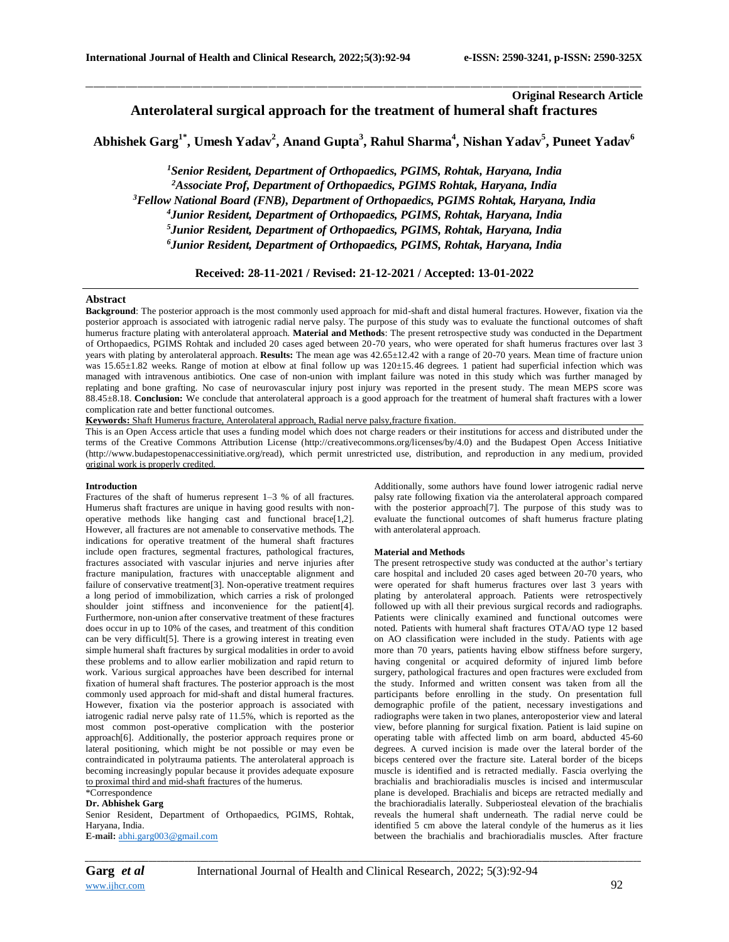# **Original Research Article Anterolateral surgical approach for the treatment of humeral shaft fractures**

# **Abhishek Garg1\* , Umesh Yadav<sup>2</sup> , Anand Gupta<sup>3</sup> , Rahul Sharma<sup>4</sup> , Nishan Yadav<sup>5</sup> , Puneet Yadav<sup>6</sup>**

\_\_\_\_\_\_\_\_\_\_\_\_\_\_\_\_\_\_\_\_\_\_\_\_\_\_\_\_\_\_\_\_\_\_\_\_\_\_\_\_\_\_\_\_\_\_\_\_\_\_\_\_\_\_\_\_\_\_\_\_\_\_\_\_\_\_\_\_\_\_\_\_\_\_\_\_\_\_\_\_\_\_\_\_\_\_\_\_\_\_\_\_\_\_\_\_\_\_\_\_\_\_\_\_\_\_\_\_\_\_\_\_\_\_\_\_\_\_\_\_\_\_\_\_\_\_\_\_\_\_\_\_\_\_\_\_\_\_\_\_

*Senior Resident, Department of Orthopaedics, PGIMS, Rohtak, Haryana, India Associate Prof, Department of Orthopaedics, PGIMS Rohtak, Haryana, India Fellow National Board (FNB), Department of Orthopaedics, PGIMS Rohtak, Haryana, India Junior Resident, Department of Orthopaedics, PGIMS, Rohtak, Haryana, India Junior Resident, Department of Orthopaedics, PGIMS, Rohtak, Haryana, India Junior Resident, Department of Orthopaedics, PGIMS, Rohtak, Haryana, India*

**Received: 28-11-2021 / Revised: 21-12-2021 / Accepted: 13-01-2022**

### **Abstract**

**Background**: The posterior approach is the most commonly used approach for mid-shaft and distal humeral fractures. However, fixation via the posterior approach is associated with iatrogenic radial nerve palsy. The purpose of this study was to evaluate the functional outcomes of shaft humerus fracture plating with anterolateral approach. **Material and Methods**: The present retrospective study was conducted in the Department of Orthopaedics, PGIMS Rohtak and included 20 cases aged between 20-70 years, who were operated for shaft humerus fractures over last 3 years with plating by anterolateral approach. **Results:** The mean age was 42.65±12.42 with a range of 20-70 years. Mean time of fracture union was 15.65±1.82 weeks. Range of motion at elbow at final follow up was 120±15.46 degrees. 1 patient had superficial infection which was managed with intravenous antibiotics. One case of non-union with implant failure was noted in this study which was further managed by replating and bone grafting. No case of neurovascular injury post injury was reported in the present study. The mean MEPS score was 88.45±8.18. **Conclusion:** We conclude that anterolateral approach is a good approach for the treatment of humeral shaft fractures with a lower complication rate and better functional outcomes.

**Keywords:** Shaft Humerus fracture, Anterolateral approach, Radial nerve palsy,fracture fixation.

This is an Open Access article that uses a funding model which does not charge readers or their institutions for access and distributed under the terms of the Creative Commons Attribution License (http://creativecommons.org/licenses/by/4.0) and the Budapest Open Access Initiative (http://www.budapestopenaccessinitiative.org/read), which permit unrestricted use, distribution, and reproduction in any medium, provided original work is properly credited.

#### **Introduction**

Fractures of the shaft of humerus represent 1–3 % of all fractures. Humerus shaft fractures are unique in having good results with nonoperative methods like hanging cast and functional brace[1,2]. However, all fractures are not amenable to conservative methods. The indications for operative treatment of the humeral shaft fractures include open fractures, segmental fractures, pathological fractures, fractures associated with vascular injuries and nerve injuries after fracture manipulation, fractures with unacceptable alignment and failure of conservative treatment[3]. Non-operative treatment requires a long period of immobilization, which carries a risk of prolonged shoulder joint stiffness and inconvenience for the patient[4]. Furthermore, non-union after conservative treatment of these fractures does occur in up to 10% of the cases, and treatment of this condition can be very difficult[5]. There is a growing interest in treating even simple humeral shaft fractures by surgical modalities in order to avoid these problems and to allow earlier mobilization and rapid return to work. Various surgical approaches have been described for internal fixation of humeral shaft fractures. The posterior approach is the most commonly used approach for mid-shaft and distal humeral fractures. However, fixation via the posterior approach is associated with iatrogenic radial nerve palsy rate of 11.5%, which is reported as the most common post-operative complication with the posterior approach[6]. Additionally, the posterior approach requires prone or lateral positioning, which might be not possible or may even be contraindicated in polytrauma patients. The anterolateral approach is becoming increasingly popular because it provides adequate exposure to proximal third and mid-shaft fractures of the humerus.

# \*Correspondence

## **Dr. Abhishek Garg**

Senior Resident, Department of Orthopaedics, PGIMS, Rohtak, Haryana, India. **E-mail:** [abhi.garg003@gmail.com](mailto:abhi.garg003@gmail.com)

Additionally, some authors have found lower iatrogenic radial nerve palsy rate following fixation via the anterolateral approach compared with the posterior approach[7]. The purpose of this study was to evaluate the functional outcomes of shaft humerus fracture plating with anterolateral approach.

#### **Material and Methods**

The present retrospective study was conducted at the author's tertiary care hospital and included 20 cases aged between 20-70 years, who were operated for shaft humerus fractures over last 3 years with plating by anterolateral approach. Patients were retrospectively followed up with all their previous surgical records and radiographs. Patients were clinically examined and functional outcomes were noted. Patients with humeral shaft fractures OTA/AO type 12 based on AO classification were included in the study. Patients with age more than 70 years, patients having elbow stiffness before surgery, having congenital or acquired deformity of injured limb before surgery, pathological fractures and open fractures were excluded from the study. Informed and written consent was taken from all the participants before enrolling in the study. On presentation full demographic profile of the patient, necessary investigations and radiographs were taken in two planes, anteroposterior view and lateral view, before planning for surgical fixation. Patient is laid supine on operating table with affected limb on arm board, abducted 45-60 degrees. A curved incision is made over the lateral border of the biceps centered over the fracture site. Lateral border of the biceps muscle is identified and is retracted medially. Fascia overlying the brachialis and brachioradialis muscles is incised and intermuscular plane is developed. Brachialis and biceps are retracted medially and the brachioradialis laterally. Subperiosteal elevation of the brachialis reveals the humeral shaft underneath. The radial nerve could be identified 5 cm above the lateral condyle of the humerus as it lies between the brachialis and brachioradialis muscles. After fracture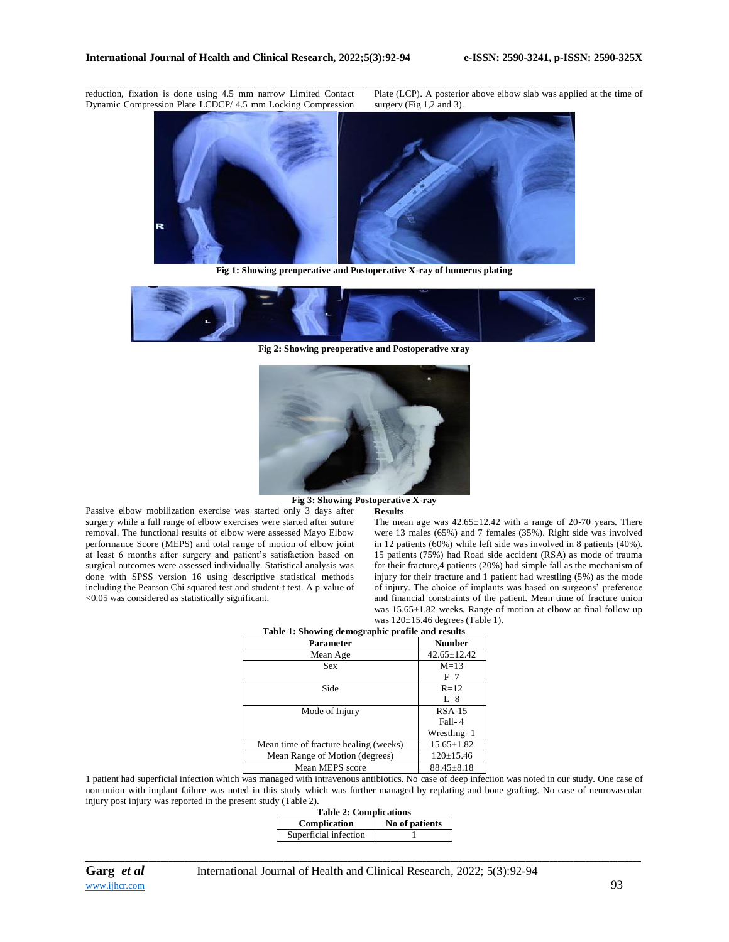reduction, fixation is done using 4.5 mm narrow Limited Contact Dynamic Compression Plate LCDCP/ 4.5 mm Locking Compression

Plate (LCP). A posterior above elbow slab was applied at the time of surgery (Fig 1,2 and 3).



\_\_\_\_\_\_\_\_\_\_\_\_\_\_\_\_\_\_\_\_\_\_\_\_\_\_\_\_\_\_\_\_\_\_\_\_\_\_\_\_\_\_\_\_\_\_\_\_\_\_\_\_\_\_\_\_\_\_\_\_\_\_\_\_\_\_\_\_\_\_\_\_\_\_\_\_\_\_\_\_\_\_\_\_\_\_\_\_\_\_\_\_\_\_\_\_\_\_\_\_\_\_\_\_\_\_\_\_\_\_\_\_\_\_\_\_\_\_\_\_\_\_\_\_\_\_\_\_\_\_\_\_\_\_\_\_\_\_\_\_

**Fig 1: Showing preoperative and Postoperative X-ray of humerus plating**



**Fig 2: Showing preoperative and Postoperative xray**



## **Fig 3: Showing Postoperative X-ray**

**Results**

Passive elbow mobilization exercise was started only 3 days after surgery while a full range of elbow exercises were started after suture removal. The functional results of elbow were assessed Mayo Elbow performance Score (MEPS) and total range of motion of elbow joint at least 6 months after surgery and patient's satisfaction based on surgical outcomes were assessed individually. Statistical analysis was done with SPSS version 16 using descriptive statistical methods including the Pearson Chi squared test and student-t test. A p-value of <0.05 was considered as statistically significant.

The mean age was 42.65±12.42 with a range of 20-70 years. There were 13 males (65%) and 7 females (35%). Right side was involved in 12 patients (60%) while left side was involved in 8 patients (40%). 15 patients (75%) had Road side accident (RSA) as mode of trauma for their fracture,4 patients (20%) had simple fall as the mechanism of injury for their fracture and 1 patient had wrestling (5%) as the mode of injury. The choice of implants was based on surgeons' preference and financial constraints of the patient. Mean time of fracture union was 15.65±1.82 weeks. Range of motion at elbow at final follow up was 120±15.46 degrees (Table 1).

| Table 1: Showing demographic profile and results |                   |
|--------------------------------------------------|-------------------|
| <b>Parameter</b>                                 | <b>Number</b>     |
| Mean Age                                         | $42.65 \pm 12.42$ |
| Sex                                              | $M=13$            |
|                                                  | $F=7$             |
| Side                                             | $R=12$            |
|                                                  | $L=8$             |
| Mode of Injury                                   | $RSA-15$          |
|                                                  | Fall-4            |
|                                                  | Wrestling-1       |
| Mean time of fracture healing (weeks)            | $15.65 \pm 1.82$  |
| Mean Range of Motion (degrees)                   | $120 \pm 15.46$   |
| Mean MEPS score                                  | $88.45 \pm 8.18$  |

1 patient had superficial infection which was managed with intravenous antibiotics. No case of deep infection was noted in our study. One case of non-union with implant failure was noted in this study which was further managed by replating and bone grafting. No case of neurovascular injury post injury was reported in the present study (Table 2).

|                       | <b>Table 2: Complications</b> |  |
|-----------------------|-------------------------------|--|
| Complication          | No of patients                |  |
| Superficial infection |                               |  |